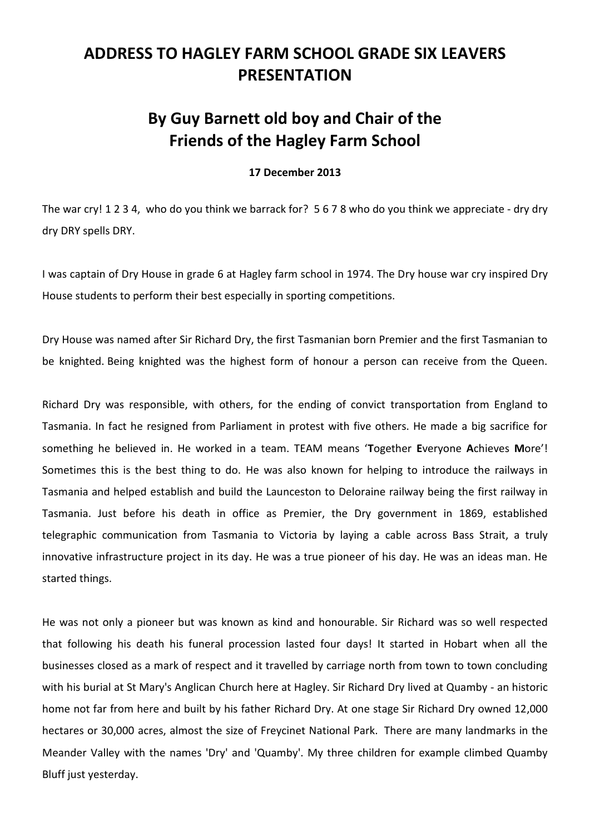## **ADDRESS TO HAGLEY FARM SCHOOL GRADE SIX LEAVERS PRESENTATION**

## **By Guy Barnett old boy and Chair of the Friends of the Hagley Farm School**

## **17 December 2013**

The war cry! 1 2 3 4, who do you think we barrack for? 5 6 7 8 who do you think we appreciate - dry dry dry DRY spells DRY.

I was captain of Dry House in grade 6 at Hagley farm school in 1974. The Dry house war cry inspired Dry House students to perform their best especially in sporting competitions.

Dry House was named after Sir Richard Dry, the first Tasmanian born Premier and the first Tasmanian to be knighted. Being knighted was the highest form of honour a person can receive from the Queen.

Richard Dry was responsible, with others, for the ending of convict transportation from England to Tasmania. In fact he resigned from Parliament in protest with five others. He made a big sacrifice for something he believed in. He worked in a team. TEAM means '**T**ogether **E**veryone **A**chieves **M**ore'! Sometimes this is the best thing to do. He was also known for helping to introduce the railways in Tasmania and helped establish and build the Launceston to Deloraine railway being the first railway in Tasmania. Just before his death in office as Premier, the Dry government in 1869, established telegraphic communication from Tasmania to Victoria by laying a cable across Bass Strait, a truly innovative infrastructure project in its day. He was a true pioneer of his day. He was an ideas man. He started things.

He was not only a pioneer but was known as kind and honourable. Sir Richard was so well respected that following his death his funeral procession lasted four days! It started in Hobart when all the businesses closed as a mark of respect and it travelled by carriage north from town to town concluding with his burial at St Mary's Anglican Church here at Hagley. Sir Richard Dry lived at Quamby - an historic home not far from here and built by his father Richard Dry. At one stage Sir Richard Dry owned 12,000 hectares or 30,000 acres, almost the size of Freycinet National Park. There are many landmarks in the Meander Valley with the names 'Dry' and 'Quamby'. My three children for example climbed Quamby Bluff just yesterday.